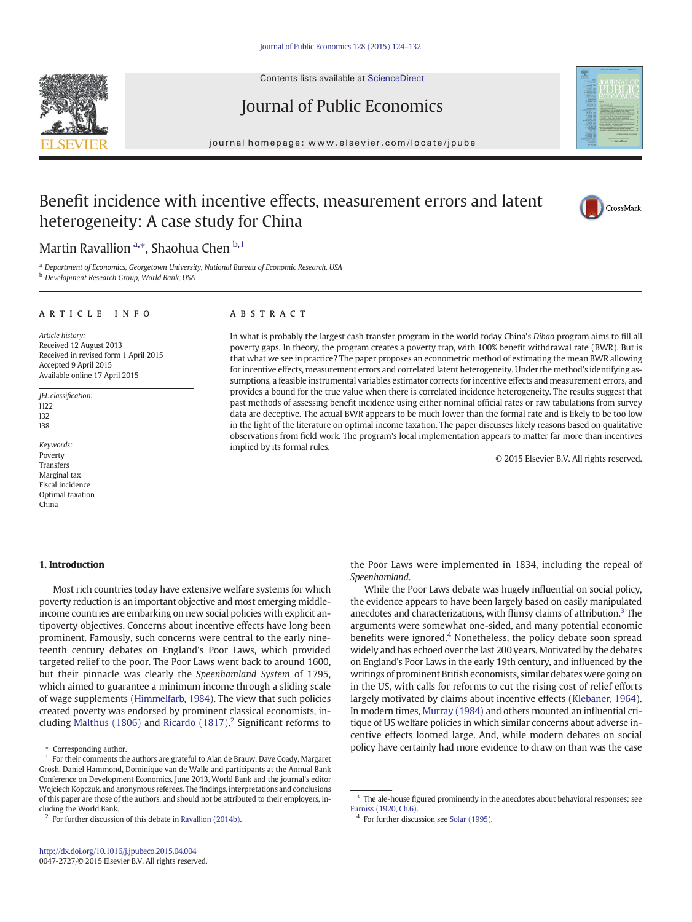<span id="page-0-0"></span>

Contents lists available at ScienceDirect

## Journal of Public Economics



journal homepage:<www.elsevier.com/locate/jpube>

# Benefit incidence with incentive effects, measurement errors and latent heterogeneity: A case study for China



Martin Ravallion <sup>a,\*</sup>, Shaohua Chen <sup>b,1</sup>

a Department of Economics, Georgetown University, National Bureau of Economic Research, USA

**b** Development Research Group, World Bank, USA

#### article info abstract

Article history: Received 12 August 2013 Received in revised form 1 April 2015 Accepted 9 April 2015 Available online 17 April 2015

JEL classification: H22 I32 I38

Keywords: Poverty Transfers Marginal tax Fiscal incidence Optimal taxation China

### 1. Introduction

Most rich countries today have extensive welfare systems for which poverty reduction is an important objective and most emerging middleincome countries are embarking on new social policies with explicit antipoverty objectives. Concerns about incentive effects have long been prominent. Famously, such concerns were central to the early nineteenth century debates on England's Poor Laws, which provided targeted relief to the poor. The Poor Laws went back to around 1600, but their pinnacle was clearly the Speenhamland System of 1795, which aimed to guarantee a minimum income through a sliding scale of wage supplements ([Himmelfarb, 1984](#page-8-0)). The view that such policies created poverty was endorsed by prominent classical economists, in-cluding [Malthus \(1806\)](#page-8-0) and [Ricardo \(1817\).](#page-8-0)<sup>2</sup> Significant reforms to

In what is probably the largest cash transfer program in the world today China's Dibao program aims to fill all poverty gaps. In theory, the program creates a poverty trap, with 100% benefit withdrawal rate (BWR). But is that what we see in practice? The paper proposes an econometric method of estimating the mean BWR allowing for incentive effects, measurement errors and correlated latent heterogeneity. Under the method's identifying assumptions, a feasible instrumental variables estimator corrects for incentive effects and measurement errors, and provides a bound for the true value when there is correlated incidence heterogeneity. The results suggest that past methods of assessing benefit incidence using either nominal official rates or raw tabulations from survey data are deceptive. The actual BWR appears to be much lower than the formal rate and is likely to be too low in the light of the literature on optimal income taxation. The paper discusses likely reasons based on qualitative observations from field work. The program's local implementation appears to matter far more than incentives implied by its formal rules.

© 2015 Elsevier B.V. All rights reserved.

the Poor Laws were implemented in 1834, including the repeal of Speenhamland.

While the Poor Laws debate was hugely influential on social policy, the evidence appears to have been largely based on easily manipulated anecdotes and characterizations, with flimsy claims of attribution.<sup>3</sup> The arguments were somewhat one-sided, and many potential economic benefits were ignored.<sup>4</sup> Nonetheless, the policy debate soon spread widely and has echoed over the last 200 years. Motivated by the debates on England's Poor Laws in the early 19th century, and influenced by the writings of prominent British economists, similar debates were going on in the US, with calls for reforms to cut the rising cost of relief efforts largely motivated by claims about incentive effects ([Klebaner, 1964](#page-8-0)). In modern times, [Murray \(1984\)](#page-8-0) and others mounted an influential critique of US welfare policies in which similar concerns about adverse incentive effects loomed large. And, while modern debates on social policy have certainly had more evidence to draw on than was the case

<sup>⁎</sup> Corresponding author.

<sup>&</sup>lt;sup>1</sup> For their comments the authors are grateful to Alan de Brauw, Dave Coady, Margaret Grosh, Daniel Hammond, Dominique van de Walle and participants at the Annual Bank Conference on Development Economics, June 2013, World Bank and the journal's editor Wojciech Kopczuk, and anonymous referees. The findings, interpretations and conclusions of this paper are those of the authors, and should not be attributed to their employers, including the World Bank.

 $2$  For further discussion of this debate in [Ravallion \(2014b\).](#page-8-0)

<sup>&</sup>lt;sup>3</sup> The ale-house figured prominently in the anecdotes about behavioral responses; see [Furniss \(1920, Ch.6\).](#page-8-0)

For further discussion see [Solar \(1995\).](#page-8-0)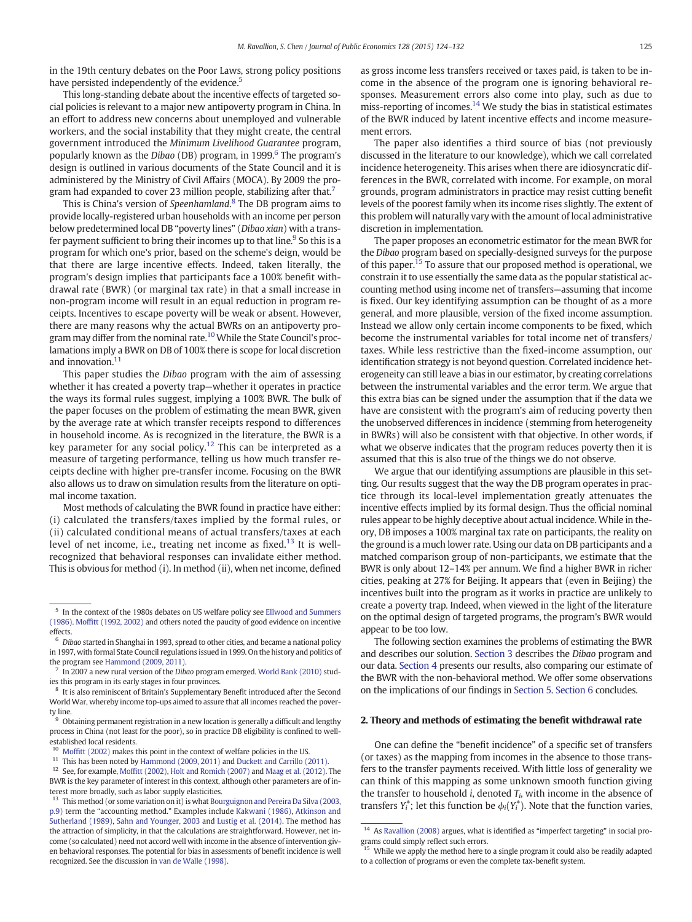<span id="page-1-0"></span>in the 19th century debates on the Poor Laws, strong policy positions have persisted independently of the evidence.<sup>5</sup>

This long-standing debate about the incentive effects of targeted social policies is relevant to a major new antipoverty program in China. In an effort to address new concerns about unemployed and vulnerable workers, and the social instability that they might create, the central government introduced the Minimum Livelihood Guarantee program, popularly known as the Dibao (DB) program, in 1999.<sup>6</sup> The program's design is outlined in various documents of the State Council and it is administered by the Ministry of Civil Affairs (MOCA). By 2009 the program had expanded to cover 23 million people, stabilizing after that.

This is China's version of Speenhamland.<sup>8</sup> The DB program aims to provide locally-registered urban households with an income per person below predetermined local DB "poverty lines" (Dibao xian) with a transfer payment sufficient to bring their incomes up to that line.<sup>9</sup> So this is a program for which one's prior, based on the scheme's deign, would be that there are large incentive effects. Indeed, taken literally, the program's design implies that participants face a 100% benefit withdrawal rate (BWR) (or marginal tax rate) in that a small increase in non-program income will result in an equal reduction in program receipts. Incentives to escape poverty will be weak or absent. However, there are many reasons why the actual BWRs on an antipoverty program may differ from the nominal rate.<sup>10</sup> While the State Council's proclamations imply a BWR on DB of 100% there is scope for local discretion and innovation.<sup>11</sup>

This paper studies the Dibao program with the aim of assessing whether it has created a poverty trap—whether it operates in practice the ways its formal rules suggest, implying a 100% BWR. The bulk of the paper focuses on the problem of estimating the mean BWR, given by the average rate at which transfer receipts respond to differences in household income. As is recognized in the literature, the BWR is a key parameter for any social policy.<sup>12</sup> This can be interpreted as a measure of targeting performance, telling us how much transfer receipts decline with higher pre-transfer income. Focusing on the BWR also allows us to draw on simulation results from the literature on optimal income taxation.

Most methods of calculating the BWR found in practice have either: (i) calculated the transfers/taxes implied by the formal rules, or (ii) calculated conditional means of actual transfers/taxes at each level of net income, i.e., treating net income as fixed.<sup>13</sup> It is wellrecognized that behavioral responses can invalidate either method. This is obvious for method (i). In method (ii), when net income, defined

- <sup>6</sup> Dibao started in Shanghai in 1993, spread to other cities, and became a national policy in 1997, with formal State Council regulations issued in 1999. On the history and politics of the program see [Hammond \(2009, 2011\)](#page-8-0).
- In 2007 a new rural version of the Dibao program emerged. [World Bank \(2010\)](#page-8-0) studies this program in its early stages in four provinces.
- <sup>8</sup> It is also reminiscent of Britain's Supplementary Benefit introduced after the Second World War, whereby income top-ups aimed to assure that all incomes reached the pover-

ty line.<br><sup>9</sup> Obtaining permanent registration in a new location is generally a difficult and lengthy process in China (not least for the poor), so in practice DB eligibility is confined to wellestablished local residents.

<sup>11</sup> This has been noted by [Hammond \(2009, 2011\)](#page-8-0) and [Duckett and Carrillo \(2011\).](#page-8-0)

<sup>12</sup> See, for example, Moffi[tt \(2002\),](#page-8-0) [Holt and Romich \(2007\)](#page-8-0) and [Maag et al. \(2012\)](#page-8-0). The BWR is the key parameter of interest in this context, although other parameters are of interest more broadly, such as labor supply elasticities.

as gross income less transfers received or taxes paid, is taken to be income in the absence of the program one is ignoring behavioral responses. Measurement errors also come into play, such as due to miss-reporting of incomes.<sup>14</sup> We study the bias in statistical estimates of the BWR induced by latent incentive effects and income measurement errors.

The paper also identifies a third source of bias (not previously discussed in the literature to our knowledge), which we call correlated incidence heterogeneity. This arises when there are idiosyncratic differences in the BWR, correlated with income. For example, on moral grounds, program administrators in practice may resist cutting benefit levels of the poorest family when its income rises slightly. The extent of this problem will naturally vary with the amount of local administrative discretion in implementation.

The paper proposes an econometric estimator for the mean BWR for the Dibao program based on specially-designed surveys for the purpose of this paper.15 To assure that our proposed method is operational, we constrain it to use essentially the same data as the popular statistical accounting method using income net of transfers—assuming that income is fixed. Our key identifying assumption can be thought of as a more general, and more plausible, version of the fixed income assumption. Instead we allow only certain income components to be fixed, which become the instrumental variables for total income net of transfers/ taxes. While less restrictive than the fixed-income assumption, our identification strategy is not beyond question. Correlated incidence heterogeneity can still leave a bias in our estimator, by creating correlations between the instrumental variables and the error term. We argue that this extra bias can be signed under the assumption that if the data we have are consistent with the program's aim of reducing poverty then the unobserved differences in incidence (stemming from heterogeneity in BWRs) will also be consistent with that objective. In other words, if what we observe indicates that the program reduces poverty then it is assumed that this is also true of the things we do not observe.

We argue that our identifying assumptions are plausible in this setting. Our results suggest that the way the DB program operates in practice through its local-level implementation greatly attenuates the incentive effects implied by its formal design. Thus the official nominal rules appear to be highly deceptive about actual incidence. While in theory, DB imposes a 100% marginal tax rate on participants, the reality on the ground is a much lower rate. Using our data on DB participants and a matched comparison group of non-participants, we estimate that the BWR is only about 12–14% per annum. We find a higher BWR in richer cities, peaking at 27% for Beijing. It appears that (even in Beijing) the incentives built into the program as it works in practice are unlikely to create a poverty trap. Indeed, when viewed in the light of the literature on the optimal design of targeted programs, the program's BWR would appear to be too low.

The following section examines the problems of estimating the BWR and describes our solution. [Section 3](#page-3-0) describes the Dibao program and our data. [Section 4](#page-5-0) presents our results, also comparing our estimate of the BWR with the non-behavioral method. We offer some observations on the implications of our findings in [Section 5.](#page-6-0) [Section 6](#page-7-0) concludes.

#### 2. Theory and methods of estimating the benefit withdrawal rate

One can define the "benefit incidence" of a specific set of transfers (or taxes) as the mapping from incomes in the absence to those transfers to the transfer payments received. With little loss of generality we can think of this mapping as some unknown smooth function giving the transfer to household *i*, denoted  $T_i$ , with income in the absence of transfers  $Y_i^*$ ; let this function be  $\phi_i(Y_i^*)$ . Note that the function varies,

<sup>&</sup>lt;sup>5</sup> In the context of the 1980s debates on US welfare policy see [Ellwood and Summers](#page-8-0) [\(1986\)](#page-8-0). Moffi[tt \(1992, 2002\)](#page-8-0) and others noted the paucity of good evidence on incentive effects.

<sup>&</sup>lt;sup>10</sup> Moffi[tt \(2002\)](#page-8-0) makes this point in the context of welfare policies in the US.

<sup>&</sup>lt;sup>13</sup> This method (or some variation on it) is what [Bourguignon and Pereira Da Silva \(2003,](#page-8-0) [p.9\)](#page-8-0) term the "accounting method." Examples include [Kakwani \(1986\)](#page-8-0), [Atkinson and](#page-8-0) [Sutherland \(1989\)](#page-8-0), [Sahn and Younger, 2003](#page-8-0) and [Lustig et al. \(2014\).](#page-8-0) The method has the attraction of simplicity, in that the calculations are straightforward. However, net income (so calculated) need not accord well with income in the absence of intervention given behavioral responses. The potential for bias in assessments of benefit incidence is well recognized. See the discussion in [van de Walle \(1998\)](#page-8-0).

<sup>&</sup>lt;sup>14</sup> As [Ravallion \(2008\)](#page-8-0) argues, what is identified as "imperfect targeting" in social programs could simply reflect such errors.

<sup>&</sup>lt;sup>15</sup> While we apply the method here to a single program it could also be readily adapted to a collection of programs or even the complete tax-benefit system.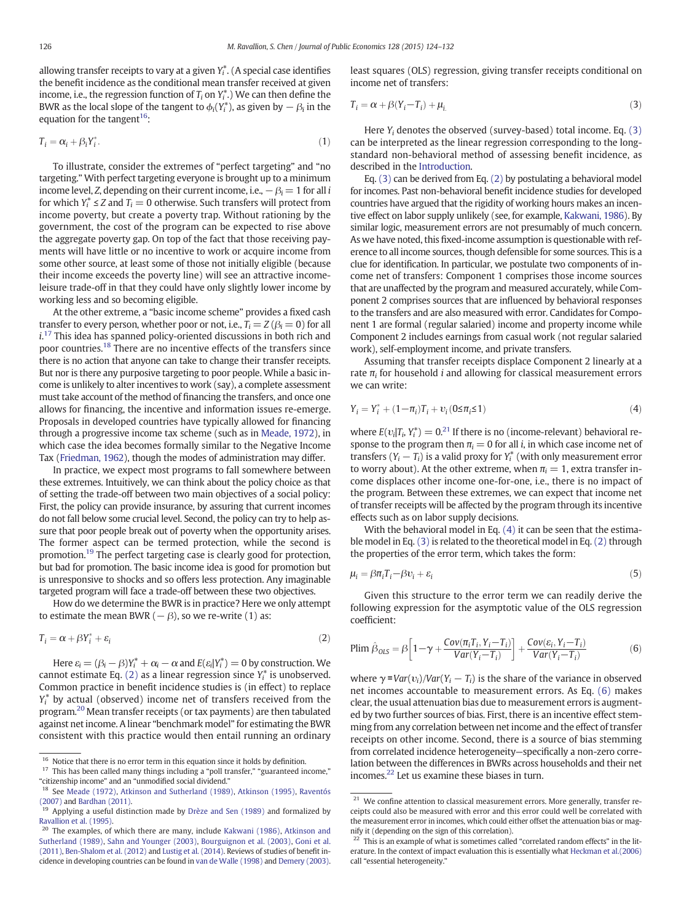<span id="page-2-0"></span>allowing transfer receipts to vary at a given  $Y_i^*$ . (A special case identifies the benefit incidence as the conditional mean transfer received at given income, i.e., the regression function of  $T_i$  on  $Y_i^*$ .) We can then define the BWR as the local slope of the tangent to  $\phi_i(Y_i^*)$ , as given by  $-\beta_i$  in the equation for the tangent<sup>16</sup>:

$$
T_i = \alpha_i + \beta_i Y_i^*.
$$
 (1)

To illustrate, consider the extremes of "perfect targeting" and "no targeting." With perfect targeting everyone is brought up to a minimum income level, Z, depending on their current income, i.e.,  $-\beta_i = 1$  for all i for which  $Y_i^* \leq Z$  and  $T_i = 0$  otherwise. Such transfers will protect from income poverty, but create a poverty trap. Without rationing by the government, the cost of the program can be expected to rise above the aggregate poverty gap. On top of the fact that those receiving payments will have little or no incentive to work or acquire income from some other source, at least some of those not initially eligible (because their income exceeds the poverty line) will see an attractive incomeleisure trade-off in that they could have only slightly lower income by working less and so becoming eligible.

At the other extreme, a "basic income scheme" provides a fixed cash transfer to every person, whether poor or not, i.e.,  $T_i = Z(\beta_i = 0)$  for all i.<sup>17</sup> This idea has spanned policy-oriented discussions in both rich and poor countries.<sup>18</sup> There are no incentive effects of the transfers since there is no action that anyone can take to change their transfer receipts. But nor is there any purposive targeting to poor people. While a basic income is unlikely to alter incentives to work (say), a complete assessment must take account of the method of financing the transfers, and once one allows for financing, the incentive and information issues re-emerge. Proposals in developed countries have typically allowed for financing through a progressive income tax scheme (such as in [Meade, 1972](#page-8-0)), in which case the idea becomes formally similar to the Negative Income Tax ([Friedman, 1962](#page-8-0)), though the modes of administration may differ.

In practice, we expect most programs to fall somewhere between these extremes. Intuitively, we can think about the policy choice as that of setting the trade-off between two main objectives of a social policy: First, the policy can provide insurance, by assuring that current incomes do not fall below some crucial level. Second, the policy can try to help assure that poor people break out of poverty when the opportunity arises. The former aspect can be termed protection, while the second is promotion.19 The perfect targeting case is clearly good for protection, but bad for promotion. The basic income idea is good for promotion but is unresponsive to shocks and so offers less protection. Any imaginable targeted program will face a trade-off between these two objectives.

How do we determine the BWR is in practice? Here we only attempt to estimate the mean BWR ( $-\beta$ ), so we re-write (1) as:

$$
T_i = \alpha + \beta Y_i^* + \varepsilon_i \tag{2}
$$

Here  $\varepsilon_i = (\beta_i - \beta)Y_i^* + \alpha_i - \alpha$  and  $E(\varepsilon_i|Y_i^*) = 0$  by construction. We cannot estimate Eq. (2) as a linear regression since  $Y_i^*$  is unobserved. Common practice in benefit incidence studies is (in effect) to replace  $Y_i^*$  by actual (observed) income net of transfers received from the program.20 Mean transfer receipts (or tax payments) are then tabulated against net income. A linear "benchmark model" for estimating the BWR consistent with this practice would then entail running an ordinary least squares (OLS) regression, giving transfer receipts conditional on income net of transfers:

$$
T_i = \alpha + \beta (Y_i - T_i) + \mu_i \tag{3}
$$

Here  $Y_i$  denotes the observed (survey-based) total income. Eq. (3) can be interpreted as the linear regression corresponding to the longstandard non-behavioral method of assessing benefit incidence, as described in the [Introduction](#page-0-0).

Eq. (3) can be derived from Eq. (2) by postulating a behavioral model for incomes. Past non-behavioral benefit incidence studies for developed countries have argued that the rigidity of working hours makes an incentive effect on labor supply unlikely (see, for example, [Kakwani, 1986](#page-8-0)). By similar logic, measurement errors are not presumably of much concern. As we have noted, this fixed-income assumption is questionable with reference to all income sources, though defensible for some sources. This is a clue for identification. In particular, we postulate two components of income net of transfers: Component 1 comprises those income sources that are unaffected by the program and measured accurately, while Component 2 comprises sources that are influenced by behavioral responses to the transfers and are also measured with error. Candidates for Component 1 are formal (regular salaried) income and property income while Component 2 includes earnings from casual work (not regular salaried work), self-employment income, and private transfers.

Assuming that transfer receipts displace Component 2 linearly at a rate  $\pi_i$  for household *i* and allowing for classical measurement errors we can write:

$$
Y_i = Y_i^* + (1 - \pi_i)T_i + \nu_i (0 \le \pi_i \le 1)
$$
\n(4)

where  $E(v_i|T_i, Y_i^*) = 0$ <sup>21</sup> If there is no (income-relevant) behavioral response to the program then  $\pi_i = 0$  for all *i*, in which case income net of transfers ( $Y_i - T_i$ ) is a valid proxy for  $Y_i^*$  (with only measurement error to worry about). At the other extreme, when  $\pi_i = 1$ , extra transfer income displaces other income one-for-one, i.e., there is no impact of the program. Between these extremes, we can expect that income net of transfer receipts will be affected by the program through its incentive effects such as on labor supply decisions.

With the behavioral model in Eq. (4) it can be seen that the estimable model in Eq. (3) is related to the theoretical model in Eq. (2) through the properties of the error term, which takes the form:

$$
\mu_i = \beta \pi_i T_i - \beta \nu_i + \varepsilon_i \tag{5}
$$

Given this structure to the error term we can readily derive the following expression for the asymptotic value of the OLS regression coefficient:

$$
\text{Plim } \hat{\beta}_{OLS} = \beta \left[ 1 - \gamma + \frac{\text{Cov}(\pi_i T_i, Y_i - T_i)}{\text{Var}(Y_i - T_i)} \right] + \frac{\text{Cov}(\varepsilon_i, Y_i - T_i)}{\text{Var}(Y_i - T_i)} \tag{6}
$$

where  $\gamma \equiv Var(v_i)/Var(Y_i - T_i)$  is the share of the variance in observed net incomes accountable to measurement errors. As Eq. (6) makes clear, the usual attenuation bias due to measurement errors is augmented by two further sources of bias. First, there is an incentive effect stemming from any correlation between net income and the effect of transfer receipts on other income. Second, there is a source of bias stemming from correlated incidence heterogeneity—specifically a non-zero correlation between the differences in BWRs across households and their net incomes.22 Let us examine these biases in turn.

 $16$  Notice that there is no error term in this equation since it holds by definition.

<sup>&</sup>lt;sup>17</sup> This has been called many things including a "poll transfer," "guaranteed income," "citizenship income" and an "unmodified social dividend."

<sup>&</sup>lt;sup>18</sup> See [Meade \(1972\)](#page-8-0), [Atkinson and Sutherland \(1989\)](#page-8-0), [Atkinson \(1995\)](#page-8-0), [Raventós](#page-8-0) [\(2007\)](#page-8-0) and [Bardhan \(2011\).](#page-8-0)

<sup>&</sup>lt;sup>19</sup> Applying a useful distinction made by [Drèze and Sen \(1989\)](#page-8-0) and formalized by [Ravallion et al. \(1995\)](#page-8-0).

 $20$  The examples, of which there are many, include [Kakwani \(1986\)](#page-8-0), [Atkinson and](#page-8-0) [Sutherland \(1989\),](#page-8-0) [Sahn and Younger \(2003\),](#page-8-0) [Bourguignon et al. \(2003\),](#page-8-0) [Goni et al.](#page-8-0) [\(2011\)](#page-8-0), [Ben-Shalom et al. \(2012\)](#page-8-0) and [Lustig et al. \(2014\)](#page-8-0). Reviews of studies of benefit incidence in developing countries can be found in [van de Walle \(1998\)](#page-8-0) and [Demery \(2003\)](#page-8-0).

 $^{21}\,$  We confine attention to classical measurement errors. More generally, transfer receipts could also be measured with error and this error could well be correlated with the measurement error in incomes, which could either offset the attenuation bias or magnify it (depending on the sign of this correlation).

 $22$  This is an example of what is sometimes called "correlated random effects" in the literature. In the context of impact evaluation this is essentially what [Heckman et al.\(2006\)](#page-8-0) call "essential heterogeneity."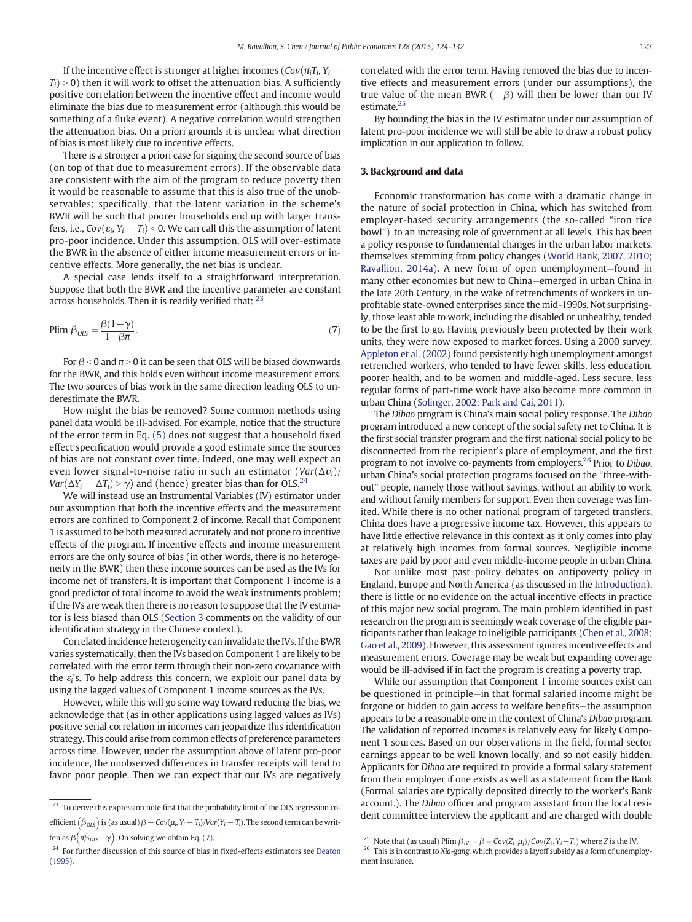<span id="page-3-0"></span>If the incentive effect is stronger at higher incomes ( $Cov(\pi_i T_i, Y_i T_i$ ) > 0) then it will work to offset the attenuation bias. A sufficiently positive correlation between the incentive effect and income would eliminate the bias due to measurement error (although this would be something of a fluke event). A negative correlation would strengthen the attenuation bias. On a priori grounds it is unclear what direction of bias is most likely due to incentive effects.

There is a stronger a priori case for signing the second source of bias (on top of that due to measurement errors). If the observable data are consistent with the aim of the program to reduce poverty then it would be reasonable to assume that this is also true of the unobservables; specifically, that the latent variation in the scheme's BWR will be such that poorer households end up with larger transfers, i.e.,  $Cov(\varepsilon_i, Y_i - T_i) < 0$ . We can call this the assumption of latent pro-poor incidence. Under this assumption, OLS will over-estimate the BWR in the absence of either income measurement errors or incentive effects. More generally, the net bias is unclear.

A special case lends itself to a straightforward interpretation. Suppose that both the BWR and the incentive parameter are constant across households. Then it is readily verified that:  $23$ 

$$
P\lim \hat{\beta}_{OLS} = \frac{\beta(1-\gamma)}{1-\beta\pi}.
$$
\n(7)

For  $\beta$  < 0 and  $\pi$  > 0 it can be seen that OLS will be biased downwards for the BWR, and this holds even without income measurement errors. The two sources of bias work in the same direction leading OLS to underestimate the BWR.

How might the bias be removed? Some common methods using panel data would be ill-advised. For example, notice that the structure of the error term in Eq. [\(5\)](#page-2-0) does not suggest that a household fixed effect specification would provide a good estimate since the sources of bias are not constant over time. Indeed, one may well expect an even lower signal-to-noise ratio in such an estimator  $(Var(\Delta v_i))$  $Var(\Delta Y_i - \Delta T_i) > \gamma$ ) and (hence) greater bias than for OLS.<sup>24</sup>

We will instead use an Instrumental Variables (IV) estimator under our assumption that both the incentive effects and the measurement errors are confined to Component 2 of income. Recall that Component 1 is assumed to be both measured accurately and not prone to incentive effects of the program. If incentive effects and income measurement errors are the only source of bias (in other words, there is no heterogeneity in the BWR) then these income sources can be used as the IVs for income net of transfers. It is important that Component 1 income is a good predictor of total income to avoid the weak instruments problem; if the IVs are weak then there is no reason to suppose that the IV estimator is less biased than OLS (Section 3 comments on the validity of our identification strategy in the Chinese context.).

Correlated incidence heterogeneity can invalidate the IVs. If the BWR varies systematically, then the IVs based on Component 1 are likely to be correlated with the error term through their non-zero covariance with the  $\varepsilon_i$ 's. To help address this concern, we exploit our panel data by using the lagged values of Component 1 income sources as the IVs.

However, while this will go some way toward reducing the bias, we acknowledge that (as in other applications using lagged values as IVs) positive serial correlation in incomes can jeopardize this identification strategy. This could arise from common effects of preference parameters across time. However, under the assumption above of latent pro-poor incidence, the unobserved differences in transfer receipts will tend to favor poor people. Then we can expect that our IVs are negatively correlated with the error term. Having removed the bias due to incentive effects and measurement errors (under our assumptions), the true value of the mean BWR ( $-\beta$ ) will then be lower than our IV estimate.25

By bounding the bias in the IV estimator under our assumption of latent pro-poor incidence we will still be able to draw a robust policy implication in our application to follow.

#### 3. Background and data

Economic transformation has come with a dramatic change in the nature of social protection in China, which has switched from employer-based security arrangements (the so-called "iron rice bowl") to an increasing role of government at all levels. This has been a policy response to fundamental changes in the urban labor markets, themselves stemming from policy changes [\(World Bank, 2007, 2010;](#page-8-0) [Ravallion, 2014a\)](#page-8-0). A new form of open unemployment—found in many other economies but new to China—emerged in urban China in the late 20th Century, in the wake of retrenchments of workers in unprofitable state-owned enterprises since the mid-1990s. Not surprisingly, those least able to work, including the disabled or unhealthy, tended to be the first to go. Having previously been protected by their work units, they were now exposed to market forces. Using a 2000 survey, [Appleton et al. \(2002\)](#page-8-0) found persistently high unemployment amongst retrenched workers, who tended to have fewer skills, less education, poorer health, and to be women and middle-aged. Less secure, less regular forms of part-time work have also become more common in urban China [\(Solinger, 2002; Park and Cai, 2011\)](#page-8-0).

The Dibao program is China's main social policy response. The Dibao program introduced a new concept of the social safety net to China. It is the first social transfer program and the first national social policy to be disconnected from the recipient's place of employment, and the first program to not involve co-payments from employers.26 Prior to Dibao, urban China's social protection programs focused on the "three-without" people, namely those without savings, without an ability to work, and without family members for support. Even then coverage was limited. While there is no other national program of targeted transfers, China does have a progressive income tax. However, this appears to have little effective relevance in this context as it only comes into play at relatively high incomes from formal sources. Negligible income taxes are paid by poor and even middle-income people in urban China.

Not unlike most past policy debates on antipoverty policy in England, Europe and North America (as discussed in the [Introduction](#page-0-0)), there is little or no evidence on the actual incentive effects in practice of this major new social program. The main problem identified in past research on the program is seemingly weak coverage of the eligible participants rather than leakage to ineligible participants ([Chen et al., 2008;](#page-8-0) [Gao et al., 2009](#page-8-0)). However, this assessment ignores incentive effects and measurement errors. Coverage may be weak but expanding coverage would be ill-advised if in fact the program is creating a poverty trap.

While our assumption that Component 1 income sources exist can be questioned in principle—in that formal salaried income might be forgone or hidden to gain access to welfare benefits—the assumption appears to be a reasonable one in the context of China's Dibao program. The validation of reported incomes is relatively easy for likely Component 1 sources. Based on our observations in the field, formal sector earnings appear to be well known locally, and so not easily hidden. Applicants for Dibao are required to provide a formal salary statement from their employer if one exists as well as a statement from the Bank (Formal salaries are typically deposited directly to the worker's Bank account.). The Dibao officer and program assistant from the local resident committee interview the applicant and are charged with double

<sup>&</sup>lt;sup>23</sup> To derive this expression note first that the probability limit of the OLS regression coefficient  $(\hat{\beta}_{OLS})$  is (as usual)  $\beta$  + Cov( $\mu_i$ , Y<sub>i</sub> − T<sub>i</sub>)/Var(Y<sub>i</sub> − T<sub>i</sub>). The second term can be written as  $\beta\big(\pi\hat{\beta}_{OLS}{-}\gamma\big).$  On solving we obtain Eq. (7).

<sup>&</sup>lt;sup>24</sup> For further discussion of this source of bias in fixed-effects estimators see [Deaton](#page-8-0) [\(1995\)](#page-8-0).

<sup>&</sup>lt;sup>25</sup> Note that (as usual) Plim  $\hat{\beta}_{IV} = \beta + Cov(Z_i, \mu_i) / Cov(Z_i, Y_i - T_i)$  where Z is the IV. <sup>26</sup> This is in contrast to Xia-gang, which provides a layoff subsidy as a form of unemploy-

ment insurance.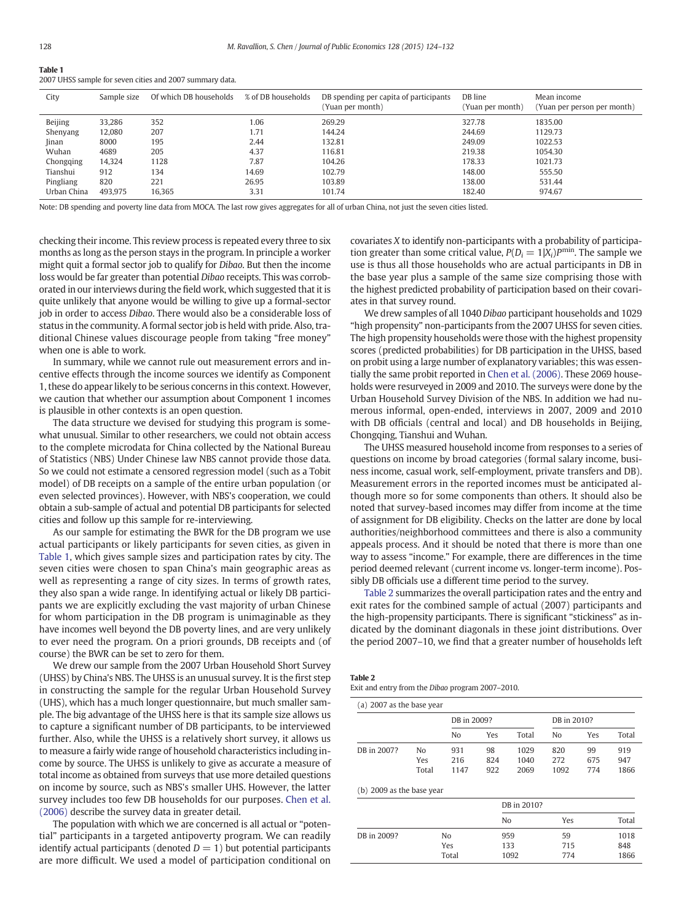<span id="page-4-0"></span>

| Table 1                                                  |  |
|----------------------------------------------------------|--|
| 2007 UHSS sample for seven cities and 2007 summary data. |  |

| City        | Sample size | Of which DB households | % of DB households | DB spending per capita of participants<br>Yuan per month) | DB line<br>(Yuan per month) | Mean income<br>(Yuan per person per month) |
|-------------|-------------|------------------------|--------------------|-----------------------------------------------------------|-----------------------------|--------------------------------------------|
| Beijing     | 33,286      | 352                    | 1.06               | 269.29                                                    | 327.78                      | 1835.00                                    |
| Shenyang    | 12,080      | 207                    | 1.71               | 144.24                                                    | 244.69                      | 1129.73                                    |
| Jinan       | 8000        | 195                    | 2.44               | 132.81                                                    | 249.09                      | 1022.53                                    |
| Wuhan       | 4689        | 205                    | 4.37               | 116.81                                                    | 219.38                      | 1054.30                                    |
| Chongqing   | 14,324      | 1128                   | 7.87               | 104.26                                                    | 178.33                      | 1021.73                                    |
| Tianshui    | 912         | 134                    | 14.69              | 102.79                                                    | 148.00                      | 555.50                                     |
| Pingliang   | 820         | 221                    | 26.95              | 103.89                                                    | 138.00                      | 531.44                                     |
| Urban China | 493,975     | 16.365                 | 3.31               | 101.74                                                    | 182.40                      | 974.67                                     |

Note: DB spending and poverty line data from MOCA. The last row gives aggregates for all of urban China, not just the seven cities listed.

checking their income. This review process is repeated every three to six months as long as the person stays in the program. In principle a worker might quit a formal sector job to qualify for Dibao. But then the income loss would be far greater than potential Dibao receipts. This was corroborated in our interviews during the field work, which suggested that it is quite unlikely that anyone would be willing to give up a formal-sector job in order to access Dibao. There would also be a considerable loss of status in the community. A formal sector job is held with pride. Also, traditional Chinese values discourage people from taking "free money" when one is able to work.

In summary, while we cannot rule out measurement errors and incentive effects through the income sources we identify as Component 1, these do appear likely to be serious concerns in this context. However, we caution that whether our assumption about Component 1 incomes is plausible in other contexts is an open question.

The data structure we devised for studying this program is somewhat unusual. Similar to other researchers, we could not obtain access to the complete microdata for China collected by the National Bureau of Statistics (NBS) Under Chinese law NBS cannot provide those data. So we could not estimate a censored regression model (such as a Tobit model) of DB receipts on a sample of the entire urban population (or even selected provinces). However, with NBS's cooperation, we could obtain a sub-sample of actual and potential DB participants for selected cities and follow up this sample for re-interviewing.

As our sample for estimating the BWR for the DB program we use actual participants or likely participants for seven cities, as given in Table 1, which gives sample sizes and participation rates by city. The seven cities were chosen to span China's main geographic areas as well as representing a range of city sizes. In terms of growth rates, they also span a wide range. In identifying actual or likely DB participants we are explicitly excluding the vast majority of urban Chinese for whom participation in the DB program is unimaginable as they have incomes well beyond the DB poverty lines, and are very unlikely to ever need the program. On a priori grounds, DB receipts and (of course) the BWR can be set to zero for them.

We drew our sample from the 2007 Urban Household Short Survey (UHSS) by China's NBS. The UHSS is an unusual survey. It is the first step in constructing the sample for the regular Urban Household Survey (UHS), which has a much longer questionnaire, but much smaller sample. The big advantage of the UHSS here is that its sample size allows us to capture a significant number of DB participants, to be interviewed further. Also, while the UHSS is a relatively short survey, it allows us to measure a fairly wide range of household characteristics including income by source. The UHSS is unlikely to give as accurate a measure of total income as obtained from surveys that use more detailed questions on income by source, such as NBS's smaller UHS. However, the latter survey includes too few DB households for our purposes. [Chen et al.](#page-8-0) [\(2006\)](#page-8-0) describe the survey data in greater detail.

The population with which we are concerned is all actual or "potential" participants in a targeted antipoverty program. We can readily identify actual participants (denoted  $D = 1$ ) but potential participants are more difficult. We used a model of participation conditional on covariates X to identify non-participants with a probability of participation greater than some critical value,  $P(D_i = 1 | X_i) P^{\text{min}}$ . The sample we use is thus all those households who are actual participants in DB in the base year plus a sample of the same size comprising those with the highest predicted probability of participation based on their covariates in that survey round.

We drew samples of all 1040 Dibao participant households and 1029 "high propensity" non-participants from the 2007 UHSS for seven cities. The high propensity households were those with the highest propensity scores (predicted probabilities) for DB participation in the UHSS, based on probit using a large number of explanatory variables; this was essentially the same probit reported in [Chen et al. \(2006\).](#page-8-0) These 2069 households were resurveyed in 2009 and 2010. The surveys were done by the Urban Household Survey Division of the NBS. In addition we had numerous informal, open-ended, interviews in 2007, 2009 and 2010 with DB officials (central and local) and DB households in Beijing, Chongqing, Tianshui and Wuhan.

The UHSS measured household income from responses to a series of questions on income by broad categories (formal salary income, business income, casual work, self-employment, private transfers and DB). Measurement errors in the reported incomes must be anticipated although more so for some components than others. It should also be noted that survey-based incomes may differ from income at the time of assignment for DB eligibility. Checks on the latter are done by local authorities/neighborhood committees and there is also a community appeals process. And it should be noted that there is more than one way to assess "income." For example, there are differences in the time period deemed relevant (current income vs. longer-term income). Possibly DB officials use a different time period to the survey.

Table 2 summarizes the overall participation rates and the entry and exit rates for the combined sample of actual (2007) participants and the high-propensity participants. There is significant "stickiness" as indicated by the dominant diagonals in these joint distributions. Over the period 2007–10, we find that a greater number of households left

#### Table 2

Exit and entry from the Dibao program 2007–2010.

| (a) 2007 as the base year   |       |      |             |             |      |             |       |  |
|-----------------------------|-------|------|-------------|-------------|------|-------------|-------|--|
|                             |       |      | DB in 2009? |             |      | DB in 2010? |       |  |
|                             |       | No   | Yes         | Total       | No   | Yes         | Total |  |
| DB in 2007?                 | No    | 931  | 98          | 1029        | 820  | 99          | 919   |  |
|                             | Yes   | 216  | 824         | 1040        | 272  | 675         | 947   |  |
|                             | Total | 1147 | 922         | 2069        | 1092 | 774         | 1866  |  |
| $(b)$ 2009 as the base year |       |      |             |             |      |             |       |  |
|                             |       |      |             | DB in 2010? |      |             |       |  |
|                             |       |      | No          |             | Yes  |             | Total |  |
| DB in 2009?                 |       | No   |             | 959         | 59   |             | 1018  |  |
|                             |       | Yes  |             | 133         | 715  |             | 848   |  |

Total 1092 774 1866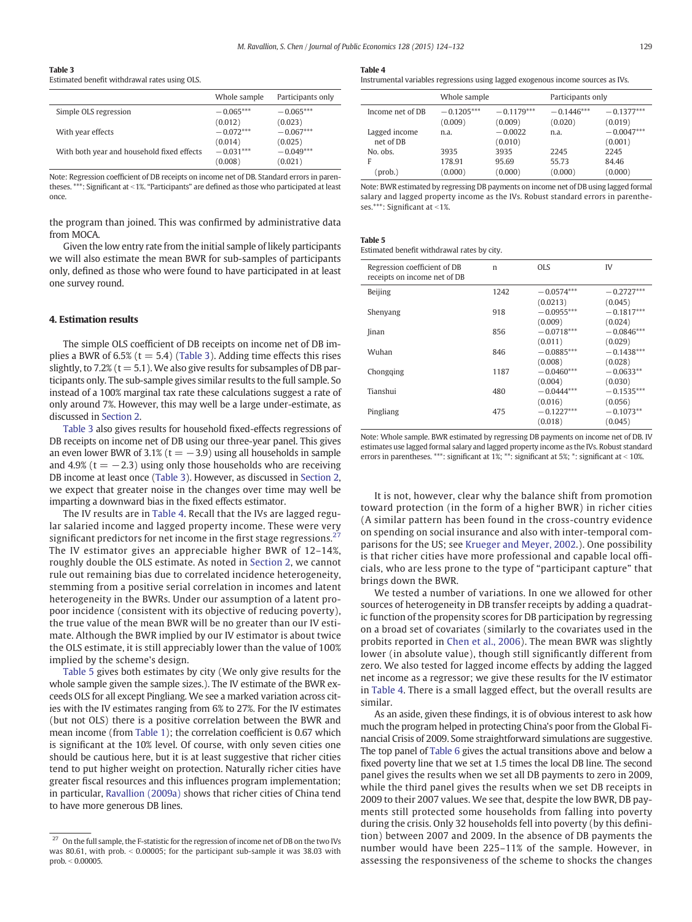<span id="page-5-0"></span>

| . . |  |  |
|-----|--|--|
|-----|--|--|

Estimated benefit withdrawal rates using OLS.

|                                            | Whole sample | Participants only |
|--------------------------------------------|--------------|-------------------|
| Simple OLS regression                      | $-0.065***$  | $-0.065***$       |
|                                            | (0.012)      | (0.023)           |
| With year effects                          | $-0.072***$  | $-0.067***$       |
|                                            | (0.014)      | (0.025)           |
| With both year and household fixed effects | $-0.031***$  | $-0.049***$       |
|                                            | (0.008)      | (0.021)           |

Note: Regression coefficient of DB receipts on income net of DB. Standard errors in parentheses. \*\*\*: Significant at <1%. "Participants" are defined as those who participated at least once.

the program than joined. This was confirmed by administrative data from MOCA.

Given the low entry rate from the initial sample of likely participants we will also estimate the mean BWR for sub-samples of participants only, defined as those who were found to have participated in at least one survey round.

#### 4. Estimation results

The simple OLS coefficient of DB receipts on income net of DB implies a BWR of 6.5% ( $t = 5.4$ ) (Table 3). Adding time effects this rises slightly, to 7.2% ( $t = 5.1$ ). We also give results for subsamples of DB participants only. The sub-sample gives similar results to the full sample. So instead of a 100% marginal tax rate these calculations suggest a rate of only around 7%. However, this may well be a large under-estimate, as discussed in [Section 2](#page-1-0).

Table 3 also gives results for household fixed-effects regressions of DB receipts on income net of DB using our three-year panel. This gives an even lower BWR of 3.1% ( $t = -3.9$ ) using all households in sample and 4.9% ( $t = -2.3$ ) using only those households who are receiving DB income at least once (Table 3). However, as discussed in [Section 2,](#page-1-0) we expect that greater noise in the changes over time may well be imparting a downward bias in the fixed effects estimator.

The IV results are in Table 4. Recall that the IVs are lagged regular salaried income and lagged property income. These were very significant predictors for net income in the first stage regressions.<sup>27</sup> The IV estimator gives an appreciable higher BWR of 12–14%, roughly double the OLS estimate. As noted in [Section 2](#page-1-0), we cannot rule out remaining bias due to correlated incidence heterogeneity, stemming from a positive serial correlation in incomes and latent heterogeneity in the BWRs. Under our assumption of a latent propoor incidence (consistent with its objective of reducing poverty), the true value of the mean BWR will be no greater than our IV estimate. Although the BWR implied by our IV estimator is about twice the OLS estimate, it is still appreciably lower than the value of 100% implied by the scheme's design.

Table 5 gives both estimates by city (We only give results for the whole sample given the sample sizes.). The IV estimate of the BWR exceeds OLS for all except Pingliang. We see a marked variation across cities with the IV estimates ranging from 6% to 27%. For the IV estimates (but not OLS) there is a positive correlation between the BWR and mean income (from [Table 1\)](#page-4-0); the correlation coefficient is 0.67 which is significant at the 10% level. Of course, with only seven cities one should be cautious here, but it is at least suggestive that richer cities tend to put higher weight on protection. Naturally richer cities have greater fiscal resources and this influences program implementation; in particular, [Ravallion \(2009a\)](#page-8-0) shows that richer cities of China tend to have more generous DB lines.

#### Table 4

Instrumental variables regressions using lagged exogenous income sources as IVs.

|                            | Whole sample            |                         | Participants only       |                         |
|----------------------------|-------------------------|-------------------------|-------------------------|-------------------------|
| Income net of DB           | $-0.1205***$<br>(0.009) | $-0.1179***$<br>(0.009) | $-0.1446***$<br>(0.020) | $-0.1377***$<br>(0.019) |
| Lagged income<br>net of DB | n.a.                    | $-0.0022$<br>(0.010)    | n.a.                    | $-0.0047***$<br>(0.001) |
| No. obs.                   | 3935                    | 3935                    | 2245                    | 2245                    |
| F<br>(prob.)               | 178.91<br>(0.000)       | 95.69<br>(0.000)        | 55.73<br>(0.000)        | 84.46<br>(0.000)        |

Note: BWR estimated by regressing DB payments on income net of DB using lagged formal salary and lagged property income as the IVs. Robust standard errors in parentheses.\*\*\*: Significant at <1%.

| Table 5 |                                             |  |
|---------|---------------------------------------------|--|
|         | Estimated benefit withdrawal rates by city. |  |

| Regression coefficient of DB<br>receipts on income net of DB | n    | OLS <sub></sub>          | IV                      |
|--------------------------------------------------------------|------|--------------------------|-------------------------|
| Beijing                                                      | 1242 | $-0.0574***$<br>(0.0213) | $-0.2727***$<br>(0.045) |
| Shenyang                                                     | 918  | $-0.0955***$             | $-0.1817***$            |
| <i>linan</i>                                                 | 856  | (0.009)<br>$-0.0718***$  | (0.024)<br>$-0.0846***$ |
| Wuhan                                                        | 846  | (0.011)<br>$-0.0885***$  | (0.029)<br>$-0.1438***$ |
| Chongging                                                    | 1187 | (0.008)<br>$-0.0460***$  | (0.028)<br>$-0.0633**$  |
| Tianshui                                                     | 480  | (0.004)<br>$-0.0444***$  | (0.030)<br>$-0.1535***$ |
| Pingliang                                                    | 475  | (0.016)<br>$-0.1227***$  | (0.056)<br>$-0.1073**$  |
|                                                              |      | (0.018)                  | (0.045)                 |

Note: Whole sample. BWR estimated by regressing DB payments on income net of DB. IV estimates use lagged formal salary and lagged property income as the IVs. Robust standard errors in parentheses. \*\*\*: significant at 1%; \*\*: significant at 5%; \*: significant at < 10%.

It is not, however, clear why the balance shift from promotion toward protection (in the form of a higher BWR) in richer cities (A similar pattern has been found in the cross-country evidence on spending on social insurance and also with inter-temporal comparisons for the US; see [Krueger and Meyer, 2002.](#page-8-0)). One possibility is that richer cities have more professional and capable local officials, who are less prone to the type of "participant capture" that brings down the BWR.

We tested a number of variations. In one we allowed for other sources of heterogeneity in DB transfer receipts by adding a quadratic function of the propensity scores for DB participation by regressing on a broad set of covariates (similarly to the covariates used in the probits reported in [Chen et al., 2006](#page-8-0)). The mean BWR was slightly lower (in absolute value), though still significantly different from zero. We also tested for lagged income effects by adding the lagged net income as a regressor; we give these results for the IV estimator in Table 4. There is a small lagged effect, but the overall results are similar.

As an aside, given these findings, it is of obvious interest to ask how much the program helped in protecting China's poor from the Global Financial Crisis of 2009. Some straightforward simulations are suggestive. The top panel of [Table 6](#page-6-0) gives the actual transitions above and below a fixed poverty line that we set at 1.5 times the local DB line. The second panel gives the results when we set all DB payments to zero in 2009, while the third panel gives the results when we set DB receipts in 2009 to their 2007 values. We see that, despite the low BWR, DB payments still protected some households from falling into poverty during the crisis. Only 32 households fell into poverty (by this definition) between 2007 and 2009. In the absence of DB payments the number would have been 225–11% of the sample. However, in assessing the responsiveness of the scheme to shocks the changes

 $^{27}\,$  On the full sample, the F-statistic for the regression of income net of DB on the two IVs was 80.61, with prob.  $<$  0.00005; for the participant sub-sample it was 38.03 with prob.  $< 0.00005$ .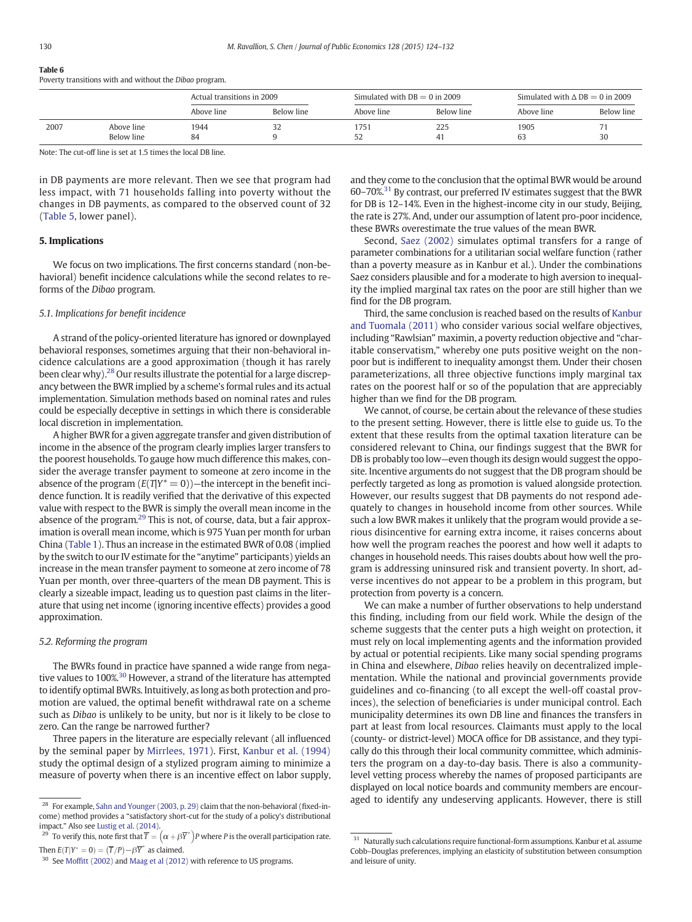## <span id="page-6-0"></span>Table 6

Poverty transitions with and without the Dibao program.

|      |                          | Actual transitions in 2009 |                   | Simulated with $DB = 0$ in 2009 |            | Simulated with $\triangle$ DB = 0 in 2009 |                                |
|------|--------------------------|----------------------------|-------------------|---------------------------------|------------|-------------------------------------------|--------------------------------|
|      |                          | Above line                 | <b>Below line</b> | Above line                      | Below line | Above line                                | Below line                     |
| 2007 | Above line<br>Below line | 1944<br>84                 | 32                | 1751<br>52                      | 225<br>41  | 1905<br>63                                | $\overline{\phantom{a}}$<br>30 |

Note: The cut-off line is set at 1.5 times the local DB line.

in DB payments are more relevant. Then we see that program had less impact, with 71 households falling into poverty without the changes in DB payments, as compared to the observed count of 32 [\(Table 5](#page-5-0), lower panel).

### 5. Implications

We focus on two implications. The first concerns standard (non-behavioral) benefit incidence calculations while the second relates to reforms of the Dibao program.

#### 5.1. Implications for benefit incidence

A strand of the policy-oriented literature has ignored or downplayed behavioral responses, sometimes arguing that their non-behavioral incidence calculations are a good approximation (though it has rarely been clear why).<sup>28</sup> Our results illustrate the potential for a large discrepancy between the BWR implied by a scheme's formal rules and its actual implementation. Simulation methods based on nominal rates and rules could be especially deceptive in settings in which there is considerable local discretion in implementation.

A higher BWR for a given aggregate transfer and given distribution of income in the absence of the program clearly implies larger transfers to the poorest households. To gauge how much difference this makes, consider the average transfer payment to someone at zero income in the absence of the program  $(E(T|Y^* = 0))$ —the intercept in the benefit incidence function. It is readily verified that the derivative of this expected value with respect to the BWR is simply the overall mean income in the absence of the program. $^{29}$  This is not, of course, data, but a fair approximation is overall mean income, which is 975 Yuan per month for urban China [\(Table 1](#page-4-0)). Thus an increase in the estimated BWR of 0.08 (implied by the switch to our IV estimate for the "anytime" participants) yields an increase in the mean transfer payment to someone at zero income of 78 Yuan per month, over three-quarters of the mean DB payment. This is clearly a sizeable impact, leading us to question past claims in the literature that using net income (ignoring incentive effects) provides a good approximation.

#### 5.2. Reforming the program

The BWRs found in practice have spanned a wide range from negative values to 100%.<sup>30</sup> However, a strand of the literature has attempted to identify optimal BWRs. Intuitively, as long as both protection and promotion are valued, the optimal benefit withdrawal rate on a scheme such as Dibao is unlikely to be unity, but nor is it likely to be close to zero. Can the range be narrowed further?

Three papers in the literature are especially relevant (all influenced by the seminal paper by [Mirrlees, 1971](#page-8-0)). First, [Kanbur et al. \(1994\)](#page-8-0) study the optimal design of a stylized program aiming to minimize a measure of poverty when there is an incentive effect on labor supply, and they come to the conclusion that the optimal BWR would be around  $60-70\%$ <sup>31</sup> By contrast, our preferred IV estimates suggest that the BWR for DB is 12–14%. Even in the highest-income city in our study, Beijing, the rate is 27%. And, under our assumption of latent pro-poor incidence, these BWRs overestimate the true values of the mean BWR.

Second, [Saez \(2002\)](#page-8-0) simulates optimal transfers for a range of parameter combinations for a utilitarian social welfare function (rather than a poverty measure as in Kanbur et al.). Under the combinations Saez considers plausible and for a moderate to high aversion to inequality the implied marginal tax rates on the poor are still higher than we find for the DB program.

Third, the same conclusion is reached based on the results of [Kanbur](#page-8-0) [and Tuomala \(2011\)](#page-8-0) who consider various social welfare objectives, including "Rawlsian" maximin, a poverty reduction objective and "charitable conservatism," whereby one puts positive weight on the nonpoor but is indifferent to inequality amongst them. Under their chosen parameterizations, all three objective functions imply marginal tax rates on the poorest half or so of the population that are appreciably higher than we find for the DB program.

We cannot, of course, be certain about the relevance of these studies to the present setting. However, there is little else to guide us. To the extent that these results from the optimal taxation literature can be considered relevant to China, our findings suggest that the BWR for DB is probably too low—even though its design would suggest the opposite. Incentive arguments do not suggest that the DB program should be perfectly targeted as long as promotion is valued alongside protection. However, our results suggest that DB payments do not respond adequately to changes in household income from other sources. While such a low BWR makes it unlikely that the program would provide a serious disincentive for earning extra income, it raises concerns about how well the program reaches the poorest and how well it adapts to changes in household needs. This raises doubts about how well the program is addressing uninsured risk and transient poverty. In short, adverse incentives do not appear to be a problem in this program, but protection from poverty is a concern.

We can make a number of further observations to help understand this finding, including from our field work. While the design of the scheme suggests that the center puts a high weight on protection, it must rely on local implementing agents and the information provided by actual or potential recipients. Like many social spending programs in China and elsewhere, Dibao relies heavily on decentralized implementation. While the national and provincial governments provide guidelines and co-financing (to all except the well-off coastal provinces), the selection of beneficiaries is under municipal control. Each municipality determines its own DB line and finances the transfers in part at least from local resources. Claimants must apply to the local (county- or district-level) MOCA office for DB assistance, and they typically do this through their local community committee, which administers the program on a day-to-day basis. There is also a communitylevel vetting process whereby the names of proposed participants are displayed on local notice boards and community members are encour- $\frac{28}{28}$  For example, [Sahn and Younger \(2003, p. 29\)](#page-8-0) claim that the non-behavioral (fixed-in-<br>28

come) method provides a "satisfactory short-cut for the study of a policy's distributional impact." Also see [Lustig et al. \(2014\).](#page-8-0)

 $^{29}$  To verify this, note first that  $\overline{T}=\left(\alpha+\beta\overline{Y}^*\right)\!P$  where  $P$  is the overall participation rate. Then  $E(T|Y^* = 0) = (\overline{T}/P) - \beta \overline{Y}^*$  as claimed.

See Moffi[tt \(2002\)](#page-8-0) and [Maag et al \(2012\)](#page-8-0) with reference to US programs.

 $31$  Naturally such calculations require functional-form assumptions. Kanbur et al. assume Cobb–Douglas preferences, implying an elasticity of substitution between consumption and leisure of unity.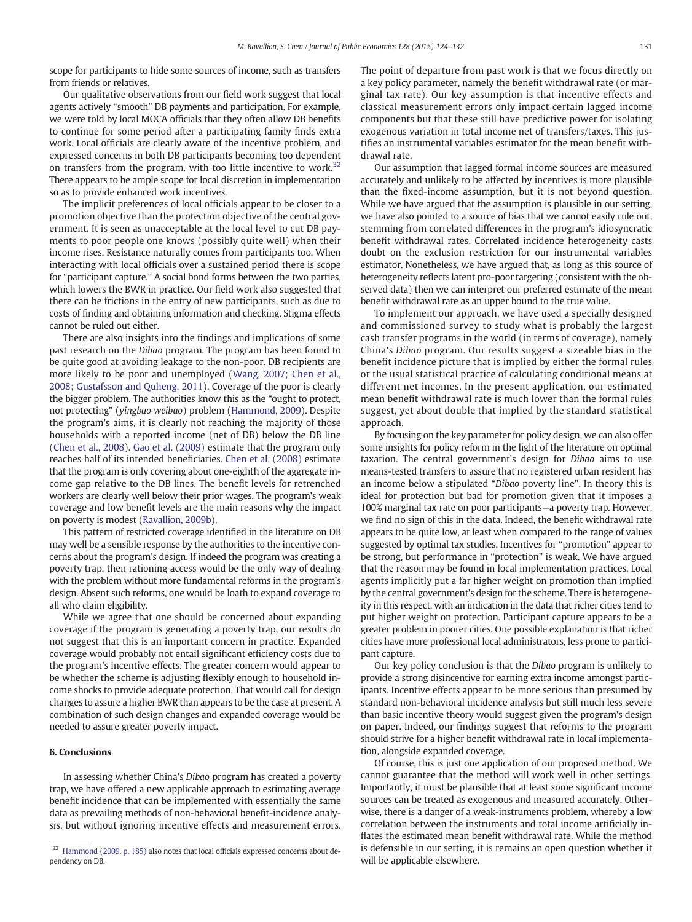<span id="page-7-0"></span>scope for participants to hide some sources of income, such as transfers from friends or relatives.

Our qualitative observations from our field work suggest that local agents actively "smooth" DB payments and participation. For example, we were told by local MOCA officials that they often allow DB benefits to continue for some period after a participating family finds extra work. Local officials are clearly aware of the incentive problem, and expressed concerns in both DB participants becoming too dependent on transfers from the program, with too little incentive to work.<sup>32</sup> There appears to be ample scope for local discretion in implementation so as to provide enhanced work incentives.

The implicit preferences of local officials appear to be closer to a promotion objective than the protection objective of the central government. It is seen as unacceptable at the local level to cut DB payments to poor people one knows (possibly quite well) when their income rises. Resistance naturally comes from participants too. When interacting with local officials over a sustained period there is scope for "participant capture." A social bond forms between the two parties, which lowers the BWR in practice. Our field work also suggested that there can be frictions in the entry of new participants, such as due to costs of finding and obtaining information and checking. Stigma effects cannot be ruled out either.

There are also insights into the findings and implications of some past research on the Dibao program. The program has been found to be quite good at avoiding leakage to the non-poor. DB recipients are more likely to be poor and unemployed [\(Wang, 2007; Chen et al.,](#page-8-0) [2008; Gustafsson and Quheng, 2011\)](#page-8-0). Coverage of the poor is clearly the bigger problem. The authorities know this as the "ought to protect, not protecting" (yingbao weibao) problem [\(Hammond, 2009](#page-8-0)). Despite the program's aims, it is clearly not reaching the majority of those households with a reported income (net of DB) below the DB line [\(Chen et al., 2008](#page-8-0)). [Gao et al. \(2009\)](#page-8-0) estimate that the program only reaches half of its intended beneficiaries. [Chen et al. \(2008\)](#page-8-0) estimate that the program is only covering about one-eighth of the aggregate income gap relative to the DB lines. The benefit levels for retrenched workers are clearly well below their prior wages. The program's weak coverage and low benefit levels are the main reasons why the impact on poverty is modest [\(Ravallion, 2009b\)](#page-8-0).

This pattern of restricted coverage identified in the literature on DB may well be a sensible response by the authorities to the incentive concerns about the program's design. If indeed the program was creating a poverty trap, then rationing access would be the only way of dealing with the problem without more fundamental reforms in the program's design. Absent such reforms, one would be loath to expand coverage to all who claim eligibility.

While we agree that one should be concerned about expanding coverage if the program is generating a poverty trap, our results do not suggest that this is an important concern in practice. Expanded coverage would probably not entail significant efficiency costs due to the program's incentive effects. The greater concern would appear to be whether the scheme is adjusting flexibly enough to household income shocks to provide adequate protection. That would call for design changes to assure a higher BWR than appears to be the case at present. A combination of such design changes and expanded coverage would be needed to assure greater poverty impact.

#### 6. Conclusions

In assessing whether China's Dibao program has created a poverty trap, we have offered a new applicable approach to estimating average benefit incidence that can be implemented with essentially the same data as prevailing methods of non-behavioral benefit-incidence analysis, but without ignoring incentive effects and measurement errors. The point of departure from past work is that we focus directly on a key policy parameter, namely the benefit withdrawal rate (or marginal tax rate). Our key assumption is that incentive effects and classical measurement errors only impact certain lagged income components but that these still have predictive power for isolating exogenous variation in total income net of transfers/taxes. This justifies an instrumental variables estimator for the mean benefit withdrawal rate.

Our assumption that lagged formal income sources are measured accurately and unlikely to be affected by incentives is more plausible than the fixed-income assumption, but it is not beyond question. While we have argued that the assumption is plausible in our setting, we have also pointed to a source of bias that we cannot easily rule out, stemming from correlated differences in the program's idiosyncratic benefit withdrawal rates. Correlated incidence heterogeneity casts doubt on the exclusion restriction for our instrumental variables estimator. Nonetheless, we have argued that, as long as this source of heterogeneity reflects latent pro-poor targeting (consistent with the observed data) then we can interpret our preferred estimate of the mean benefit withdrawal rate as an upper bound to the true value.

To implement our approach, we have used a specially designed and commissioned survey to study what is probably the largest cash transfer programs in the world (in terms of coverage), namely China's Dibao program. Our results suggest a sizeable bias in the benefit incidence picture that is implied by either the formal rules or the usual statistical practice of calculating conditional means at different net incomes. In the present application, our estimated mean benefit withdrawal rate is much lower than the formal rules suggest, yet about double that implied by the standard statistical approach.

By focusing on the key parameter for policy design, we can also offer some insights for policy reform in the light of the literature on optimal taxation. The central government's design for Dibao aims to use means-tested transfers to assure that no registered urban resident has an income below a stipulated "Dibao poverty line". In theory this is ideal for protection but bad for promotion given that it imposes a 100% marginal tax rate on poor participants—a poverty trap. However, we find no sign of this in the data. Indeed, the benefit withdrawal rate appears to be quite low, at least when compared to the range of values suggested by optimal tax studies. Incentives for "promotion" appear to be strong, but performance in "protection" is weak. We have argued that the reason may be found in local implementation practices. Local agents implicitly put a far higher weight on promotion than implied by the central government's design for the scheme. There is heterogeneity in this respect, with an indication in the data that richer cities tend to put higher weight on protection. Participant capture appears to be a greater problem in poorer cities. One possible explanation is that richer cities have more professional local administrators, less prone to participant capture.

Our key policy conclusion is that the Dibao program is unlikely to provide a strong disincentive for earning extra income amongst participants. Incentive effects appear to be more serious than presumed by standard non-behavioral incidence analysis but still much less severe than basic incentive theory would suggest given the program's design on paper. Indeed, our findings suggest that reforms to the program should strive for a higher benefit withdrawal rate in local implementation, alongside expanded coverage.

Of course, this is just one application of our proposed method. We cannot guarantee that the method will work well in other settings. Importantly, it must be plausible that at least some significant income sources can be treated as exogenous and measured accurately. Otherwise, there is a danger of a weak-instruments problem, whereby a low correlation between the instruments and total income artificially inflates the estimated mean benefit withdrawal rate. While the method is defensible in our setting, it is remains an open question whether it will be applicable elsewhere.

<sup>&</sup>lt;sup>32</sup> [Hammond \(2009, p. 185\)](#page-8-0) also notes that local officials expressed concerns about dependency on DB.